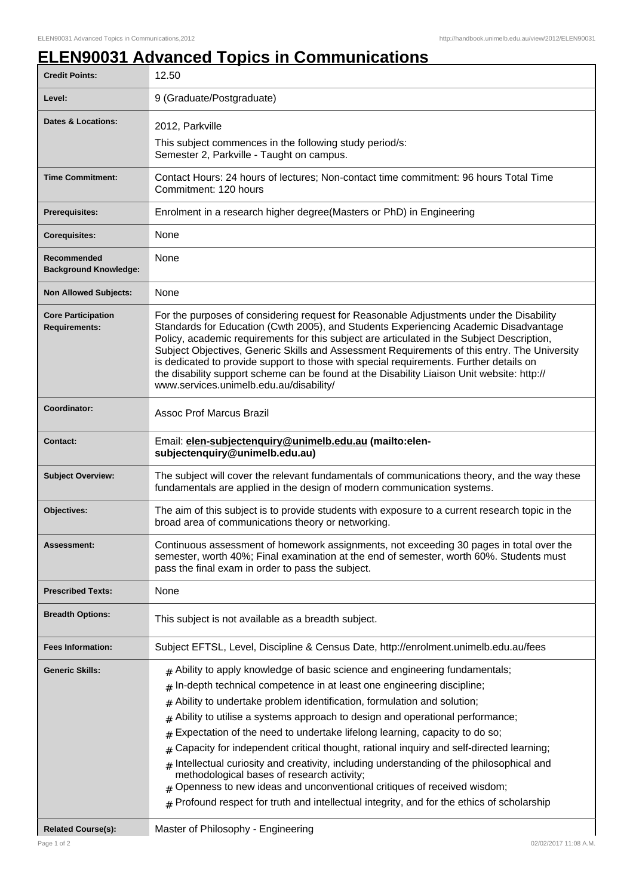## **ELEN90031 Advanced Topics in Communications**

| <b>Credit Points:</b>                             | 12.50                                                                                                                                                                                                                                                                                                                                                                                                                                                                                                                                                                                                                                                                                                                                                                                                                                      |
|---------------------------------------------------|--------------------------------------------------------------------------------------------------------------------------------------------------------------------------------------------------------------------------------------------------------------------------------------------------------------------------------------------------------------------------------------------------------------------------------------------------------------------------------------------------------------------------------------------------------------------------------------------------------------------------------------------------------------------------------------------------------------------------------------------------------------------------------------------------------------------------------------------|
| Level:                                            | 9 (Graduate/Postgraduate)                                                                                                                                                                                                                                                                                                                                                                                                                                                                                                                                                                                                                                                                                                                                                                                                                  |
| <b>Dates &amp; Locations:</b>                     | 2012, Parkville                                                                                                                                                                                                                                                                                                                                                                                                                                                                                                                                                                                                                                                                                                                                                                                                                            |
|                                                   | This subject commences in the following study period/s:<br>Semester 2, Parkville - Taught on campus.                                                                                                                                                                                                                                                                                                                                                                                                                                                                                                                                                                                                                                                                                                                                       |
| <b>Time Commitment:</b>                           | Contact Hours: 24 hours of lectures; Non-contact time commitment: 96 hours Total Time<br>Commitment: 120 hours                                                                                                                                                                                                                                                                                                                                                                                                                                                                                                                                                                                                                                                                                                                             |
| <b>Prerequisites:</b>                             | Enrolment in a research higher degree (Masters or PhD) in Engineering                                                                                                                                                                                                                                                                                                                                                                                                                                                                                                                                                                                                                                                                                                                                                                      |
| <b>Corequisites:</b>                              | None                                                                                                                                                                                                                                                                                                                                                                                                                                                                                                                                                                                                                                                                                                                                                                                                                                       |
| Recommended<br><b>Background Knowledge:</b>       | None                                                                                                                                                                                                                                                                                                                                                                                                                                                                                                                                                                                                                                                                                                                                                                                                                                       |
| <b>Non Allowed Subjects:</b>                      | None                                                                                                                                                                                                                                                                                                                                                                                                                                                                                                                                                                                                                                                                                                                                                                                                                                       |
| <b>Core Participation</b><br><b>Requirements:</b> | For the purposes of considering request for Reasonable Adjustments under the Disability<br>Standards for Education (Cwth 2005), and Students Experiencing Academic Disadvantage<br>Policy, academic requirements for this subject are articulated in the Subject Description,<br>Subject Objectives, Generic Skills and Assessment Requirements of this entry. The University<br>is dedicated to provide support to those with special requirements. Further details on<br>the disability support scheme can be found at the Disability Liaison Unit website: http://<br>www.services.unimelb.edu.au/disability/                                                                                                                                                                                                                           |
| Coordinator:                                      | <b>Assoc Prof Marcus Brazil</b>                                                                                                                                                                                                                                                                                                                                                                                                                                                                                                                                                                                                                                                                                                                                                                                                            |
| <b>Contact:</b>                                   | Email: elen-subjectenquiry@unimelb.edu.au (mailto:elen-<br>subjectenquiry@unimelb.edu.au)                                                                                                                                                                                                                                                                                                                                                                                                                                                                                                                                                                                                                                                                                                                                                  |
| <b>Subject Overview:</b>                          | The subject will cover the relevant fundamentals of communications theory, and the way these<br>fundamentals are applied in the design of modern communication systems.                                                                                                                                                                                                                                                                                                                                                                                                                                                                                                                                                                                                                                                                    |
| Objectives:                                       | The aim of this subject is to provide students with exposure to a current research topic in the<br>broad area of communications theory or networking.                                                                                                                                                                                                                                                                                                                                                                                                                                                                                                                                                                                                                                                                                      |
| <b>Assessment:</b>                                | Continuous assessment of homework assignments, not exceeding 30 pages in total over the<br>semester, worth 40%; Final examination at the end of semester, worth 60%. Students must<br>pass the final exam in order to pass the subject.                                                                                                                                                                                                                                                                                                                                                                                                                                                                                                                                                                                                    |
| <b>Prescribed Texts:</b>                          | None                                                                                                                                                                                                                                                                                                                                                                                                                                                                                                                                                                                                                                                                                                                                                                                                                                       |
| <b>Breadth Options:</b>                           | This subject is not available as a breadth subject.                                                                                                                                                                                                                                                                                                                                                                                                                                                                                                                                                                                                                                                                                                                                                                                        |
| <b>Fees Information:</b>                          | Subject EFTSL, Level, Discipline & Census Date, http://enrolment.unimelb.edu.au/fees                                                                                                                                                                                                                                                                                                                                                                                                                                                                                                                                                                                                                                                                                                                                                       |
| <b>Generic Skills:</b>                            | $#$ Ability to apply knowledge of basic science and engineering fundamentals;<br>In-depth technical competence in at least one engineering discipline;<br>#<br>Ability to undertake problem identification, formulation and solution;<br>#<br>Ability to utilise a systems approach to design and operational performance;<br>#<br>Expectation of the need to undertake lifelong learning, capacity to do so;<br>#<br>Capacity for independent critical thought, rational inquiry and self-directed learning;<br>#<br>Intellectual curiosity and creativity, including understanding of the philosophical and<br>#<br>methodological bases of research activity;<br>Openness to new ideas and unconventional critiques of received wisdom;<br>$*$ Profound respect for truth and intellectual integrity, and for the ethics of scholarship |
| <b>Related Course(s):</b>                         | Master of Philosophy - Engineering                                                                                                                                                                                                                                                                                                                                                                                                                                                                                                                                                                                                                                                                                                                                                                                                         |